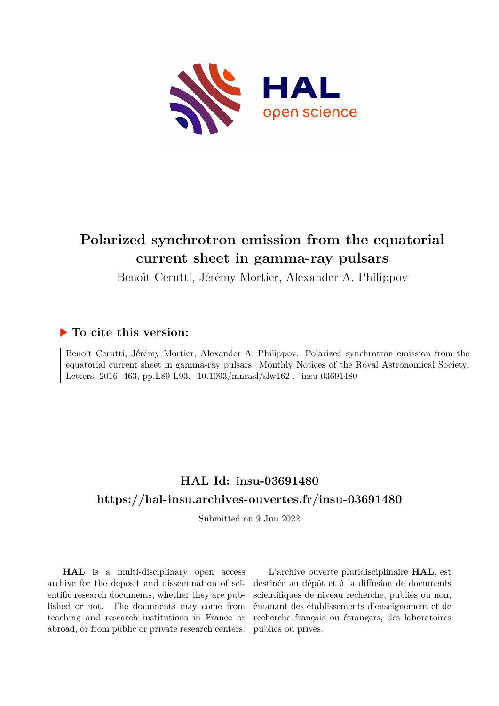

# **Polarized synchrotron emission from the equatorial current sheet in gamma-ray pulsars**

Benoît Cerutti, Jérémy Mortier, Alexander A. Philippov

### **To cite this version:**

Benoît Cerutti, Jérémy Mortier, Alexander A. Philippov. Polarized synchrotron emission from the equatorial current sheet in gamma-ray pulsars. Monthly Notices of the Royal Astronomical Society: Letters, 2016, 463, pp.L89-L93.  $10.1093/mnrasl/slw162$ . insu-03691480

## **HAL Id: insu-03691480 <https://hal-insu.archives-ouvertes.fr/insu-03691480>**

Submitted on 9 Jun 2022

**HAL** is a multi-disciplinary open access archive for the deposit and dissemination of scientific research documents, whether they are published or not. The documents may come from teaching and research institutions in France or abroad, or from public or private research centers.

L'archive ouverte pluridisciplinaire **HAL**, est destinée au dépôt et à la diffusion de documents scientifiques de niveau recherche, publiés ou non, émanant des établissements d'enseignement et de recherche français ou étrangers, des laboratoires publics ou privés.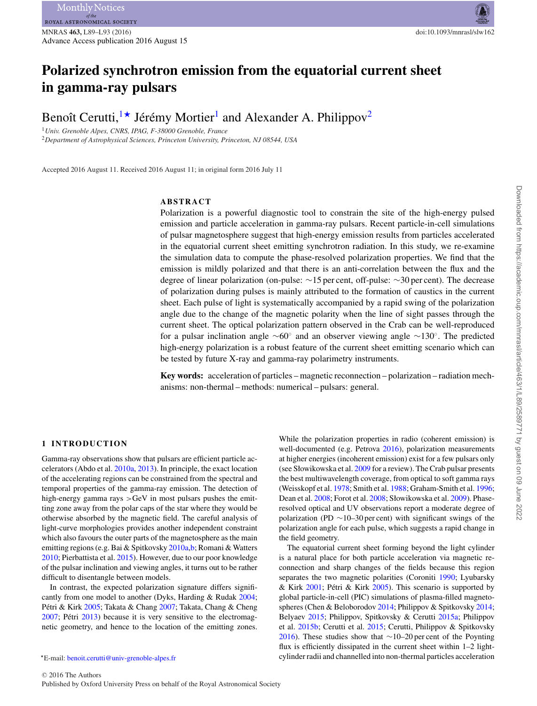### **Polarized synchrotron emission from the equatorial current sheet in gamma-ray pulsars**

Benoît Cerutti,  $\mathbf{1} \star$  Jérémy Mortier<sup>1</sup> and Alexander A. Philippov<sup>2</sup>

<sup>1</sup>*Univ. Grenoble Alpes, CNRS, IPAG, F-38000 Grenoble, France* <sup>2</sup>*Department of Astrophysical Sciences, Princeton University, Princeton, NJ 08544, USA*

Accepted 2016 August 11. Received 2016 August 11; in original form 2016 July 11

#### **ABSTRACT**

Polarization is a powerful diagnostic tool to constrain the site of the high-energy pulsed emission and particle acceleration in gamma-ray pulsars. Recent particle-in-cell simulations of pulsar magnetosphere suggest that high-energy emission results from particles accelerated in the equatorial current sheet emitting synchrotron radiation. In this study, we re-examine the simulation data to compute the phase-resolved polarization properties. We find that the emission is mildly polarized and that there is an anti-correlation between the flux and the degree of linear polarization (on-pulse: ∼15 per cent, off-pulse: ∼30 per cent). The decrease of polarization during pulses is mainly attributed to the formation of caustics in the current sheet. Each pulse of light is systematically accompanied by a rapid swing of the polarization angle due to the change of the magnetic polarity when the line of sight passes through the current sheet. The optical polarization pattern observed in the Crab can be well-reproduced for a pulsar inclination angle ∼60◦ and an observer viewing angle ∼130◦. The predicted high-energy polarization is a robust feature of the current sheet emitting scenario which can be tested by future X-ray and gamma-ray polarimetry instruments.

**Key words:** acceleration of particles – magnetic reconnection – polarization – radiation mechanisms: non-thermal – methods: numerical – pulsars: general.

#### **1 INTRODUCTION**

Gamma-ray observations show that pulsars are efficient particle accelerators (Abdo et al. 2010a, 2013). In principle, the exact location of the accelerating regions can be constrained from the spectral and temporal properties of the gamma-ray emission. The detection of high-energy gamma rays >GeV in most pulsars pushes the emitting zone away from the polar caps of the star where they would be otherwise absorbed by the magnetic field. The careful analysis of light-curve morphologies provides another independent constraint which also favours the outer parts of the magnetosphere as the main emitting regions (e.g. Bai & Spitkovsky 2010a,b; Romani & Watters 2010; Pierbattista et al. 2015). However, due to our poor knowledge of the pulsar inclination and viewing angles, it turns out to be rather difficult to disentangle between models.

In contrast, the expected polarization signature differs significantly from one model to another (Dyks, Harding & Rudak 2004; Pétri & Kirk 2005; Takata & Chang 2007; Takata, Chang & Cheng  $2007$ ; Pétri  $2013$ ) because it is very sensitive to the electromagnetic geometry, and hence to the location of the emitting zones.

-E-mail: [benoit.cerutti@univ-grenoble-alpes.fr](mailto:benoit.cerutti@univ-grenoble-alpes.fr)

While the polarization properties in radio (coherent emission) is well-documented (e.g. Petrova 2016), polarization measurements at higher energies (incoherent emission) exist for a few pulsars only (see Słowikowska et al. 2009 for a review). The Crab pulsar presents the best multiwavelength coverage, from optical to soft gamma rays (Weisskopf et al. 1978; Smith et al. 1988; Graham-Smith et al. 1996; Dean et al. 2008; Forot et al. 2008; Słowikowska et al. 2009). Phaseresolved optical and UV observations report a moderate degree of polarization (PD ∼10–30 per cent) with significant swings of the polarization angle for each pulse, which suggests a rapid change in the field geometry.

The equatorial current sheet forming beyond the light cylinder is a natural place for both particle acceleration via magnetic reconnection and sharp changes of the fields because this region separates the two magnetic polarities (Coroniti 1990; Lyubarsky & Kirk 2001; Pétri & Kirk 2005). This scenario is supported by global particle-in-cell (PIC) simulations of plasma-filled magnetospheres (Chen & Beloborodov 2014; Philippov & Spitkovsky 2014; Belyaev 2015; Philippov, Spitkovsky & Cerutti 2015a; Philippov et al. 2015b; Cerutti et al. 2015; Cerutti, Philippov & Spitkovsky 2016). These studies show that  $\sim$ 10–20 per cent of the Poynting flux is efficiently dissipated in the current sheet within 1–2 lightcylinder radii and channelled into non-thermal particles acceleration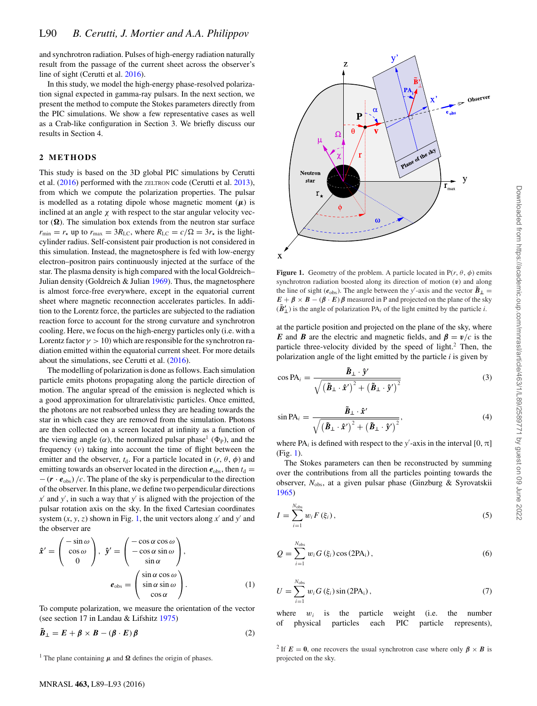and synchrotron radiation. Pulses of high-energy radiation naturally result from the passage of the current sheet across the observer's line of sight (Cerutti et al. 2016).

In this study, we model the high-energy phase-resolved polarization signal expected in gamma-ray pulsars. In the next section, we present the method to compute the Stokes parameters directly from the PIC simulations. We show a few representative cases as well as a Crab-like configuration in Section 3. We briefly discuss our results in Section 4.

#### **2 METHODS**

This study is based on the 3D global PIC simulations by Cerutti et al. (2016) performed with the ZELTRON code (Cerutti et al. 2013), from which we compute the polarization properties. The pulsar is modelled as a rotating dipole whose magnetic moment  $(\mu)$  is inclined at an angle  $\chi$  with respect to the star angular velocity vector  $(\Omega)$ . The simulation box extends from the neutron star surface  $r_{\text{min}} = r_{\star}$  up to  $r_{\text{max}} = 3R_{\text{LC}}$ , where  $R_{\text{LC}} = c/\Omega = 3r_{\star}$  is the lightcylinder radius. Self-consistent pair production is not considered in this simulation. Instead, the magnetosphere is fed with low-energy electron–positron pairs continuously injected at the surface of the star. The plasma density is high compared with the local Goldreich– Julian density (Goldreich & Julian 1969). Thus, the magnetosphere is almost force-free everywhere, except in the equatorial current sheet where magnetic reconnection accelerates particles. In addition to the Lorentz force, the particles are subjected to the radiation reaction force to account for the strong curvature and synchrotron cooling. Here, we focus on the high-energy particles only (i.e. with a Lorentz factor  $\gamma > 10$ ) which are responsible for the synchrotron radiation emitted within the equatorial current sheet. For more details about the simulations, see Cerutti et al. (2016).

The modelling of polarization is done as follows. Each simulation particle emits photons propagating along the particle direction of motion. The angular spread of the emission is neglected which is a good approximation for ultrarelativistic particles. Once emitted, the photons are not reabsorbed unless they are heading towards the star in which case they are removed from the simulation. Photons are then collected on a screen located at infinity as a function of the viewing angle ( $\alpha$ ), the normalized pulsar phase<sup>1</sup> ( $\Phi$ <sub>P</sub>), and the frequency  $(v)$  taking into account the time of flight between the emitter and the observer,  $t_d$ . For a particle located in  $(r, \theta, \phi)$  and emitting towards an observer located in the direction  $e_{obs}$ , then  $t_d$  =  $-(\mathbf{r} \cdot \mathbf{e}_{obs})/c$ . The plane of the sky is perpendicular to the direction of the observer. In this plane, we define two perpendicular directions *x* and *y* , in such a way that *y* is aligned with the projection of the pulsar rotation axis on the sky. In the fixed Cartesian coordinates system  $(x, y, z)$  shown in Fig. 1, the unit vectors along  $x'$  and  $y'$  and the observer are

$$
\hat{\mathbf{x}}' = \begin{pmatrix} -\sin \omega \\ \cos \omega \\ 0 \end{pmatrix}, \quad \hat{\mathbf{y}}' = \begin{pmatrix} -\cos \alpha \cos \omega \\ -\cos \alpha \sin \omega \\ \sin \alpha \end{pmatrix},
$$

$$
e_{\text{obs}} = \begin{pmatrix} \sin \alpha \cos \omega \\ \sin \alpha \sin \omega \\ \cos \alpha \end{pmatrix}.
$$
 (1)

To compute polarization, we measure the orientation of the vector (see section 17 in Landau & Lifshitz 1975)

$$
\tilde{B}_{\perp} = E + \beta \times B - (\beta \cdot E) \beta \tag{2}
$$

<sup>1</sup> The plane containing  $\mu$  and  $\Omega$  defines the origin of phases.



**Figure 1.** Geometry of the problem. A particle located in  $P(r, \theta, \phi)$  emits synchrotron radiation boosted along its direction of motion (*v*) and along the line of sight ( $e_{\text{obs}}$ ). The angle between the *y*'-axis and the vector  $\tilde{B}_{\perp}$  =  $E + \beta \times B - (\beta \cdot E) \beta$  measured in P and projected on the plane of the sky  $(\tilde{B}_{\perp}')$  is the angle of polarization PA<sub>*i*</sub> of the light emitted by the particle *i*.

at the particle position and projected on the plane of the sky, where *E* and *B* are the electric and magnetic fields, and  $\beta = v/c$  is the particle three-velocity divided by the speed of light.<sup>2</sup> Then, the polarization angle of the light emitted by the particle *i* is given by

$$
\cos PA_{i} = \frac{\tilde{\boldsymbol{B}}_{\perp} \cdot \hat{\boldsymbol{y}}'}{\sqrt{\left(\tilde{\boldsymbol{B}}_{\perp} \cdot \hat{\boldsymbol{x}}'\right)^{2} + \left(\tilde{\boldsymbol{B}}_{\perp} \cdot \hat{\boldsymbol{y}}'\right)^{2}}}
$$
(3)

$$
\sin PA_{i} = \frac{\tilde{B}_{\perp} \cdot \hat{x}'}{\sqrt{(\tilde{B}_{\perp} \cdot \hat{x}')}^{2} + (\tilde{B}_{\perp} \cdot \hat{y}')^{2}}},
$$
\n(4)

where PA<sub>*i*</sub> is defined with respect to the *y*'-axis in the interval [0,  $\pi$ ] (Fig. 1).

The Stokes parameters can then be reconstructed by summing over the contributions from all the particles pointing towards the observer, *N*obs, at a given pulsar phase (Ginzburg & Syrovatskii 1965)

$$
I = \sum_{i=1}^{N_{\text{obs}}} w_i F(\xi_i), \qquad (5)
$$

$$
Q = \sum_{i=1}^{N_{\text{obs}}} w_i G(\xi_i) \cos(2\text{PA}_i), \qquad (6)
$$

$$
U = \sum_{i=1}^{N_{\text{obs}}} w_i G(\xi_i) \sin(2\text{PA}_i), \tag{7}
$$

where  $w_i$  is the particle weight (i.e. the number of physical particles each PIC particle represents),

<sup>2</sup> If  $E = 0$ , one recovers the usual synchrotron case where only  $\beta \times B$  is projected on the sky.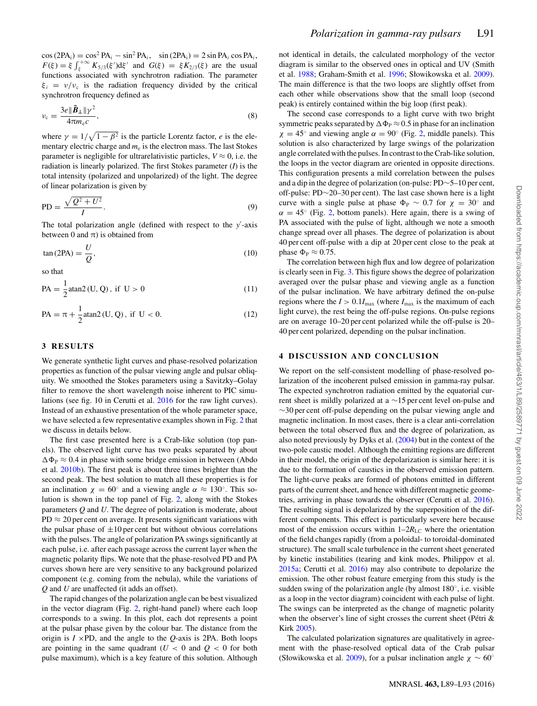$cos(2PA_i) = cos^2 PA_i - sin^2 PA_i$ ,  $sin(2PA_i) = 2 sin PA_i cos PA_i$ ,  $F(\xi) = \xi \int_{\xi}^{+\infty} K_{5/3}(\xi') d\xi'$  and  $G(\xi) = \xi K_{2/3}(\xi)$  are the usual functions associated with synchrotron radiation. The parameter  $\xi_i = v/v_c$  is the radiation frequency divided by the critical synchrotron frequency defined as

$$
\nu_{\rm c} = \frac{3e\|\tilde{\boldsymbol{B}}_{\perp}\| \gamma^2}{4\pi m_{\rm e}c},\tag{8}
$$

where  $\gamma = 1/\sqrt{1 - \beta^2}$  is the particle Lorentz factor, *e* is the elementary electric charge and  $m_e$  is the electron mass. The last Stokes parameter is negligible for ultrarelativistic particles,  $V \approx 0$ , i.e. the radiation is linearly polarized. The first Stokes parameter (*I*) is the total intensity (polarized and unpolarized) of the light. The degree of linear polarization is given by

$$
PD = \frac{\sqrt{Q^2 + U^2}}{I}.
$$
\n(9)

The total polarization angle (defined with respect to the *y* -axis between 0 and  $\pi$ ) is obtained from

$$
\tan(2\text{PA}) = \frac{U}{Q},\tag{10}
$$

so that

$$
PA = \frac{1}{2} \text{atan2 (U, Q)}, \text{ if } U > 0 \tag{11}
$$

$$
PA = \pi + \frac{1}{2} \text{atan2}(U, Q), \text{ if } U < 0. \tag{12}
$$

#### **3 RESULTS**

We generate synthetic light curves and phase-resolved polarization properties as function of the pulsar viewing angle and pulsar obliquity. We smoothed the Stokes parameters using a Savitzky–Golay filter to remove the short wavelength noise inherent to PIC simulations (see fig. 10 in Cerutti et al. 2016 for the raw light curves). Instead of an exhaustive presentation of the whole parameter space, we have selected a few representative examples shown in Fig. 2 that we discuss in details below.

The first case presented here is a Crab-like solution (top panels). The observed light curve has two peaks separated by about  $\Delta \Phi_P \approx 0.4$  in phase with some bridge emission in between (Abdo et al. 2010b). The first peak is about three times brighter than the second peak. The best solution to match all these properties is for an inclination  $\chi = 60^\circ$  and a viewing angle  $\alpha \approx 130^\circ$ . This solution is shown in the top panel of Fig. 2, along with the Stokes parameters *Q* and *U*. The degree of polarization is moderate, about  $PD \approx 20$  per cent on average. It presents significant variations with the pulsar phase of  $\pm 10$  per cent but without obvious correlations with the pulses. The angle of polarization PA swings significantly at each pulse, i.e. after each passage across the current layer when the magnetic polarity flips. We note that the phase-resolved PD and PA curves shown here are very sensitive to any background polarized component (e.g. coming from the nebula), while the variations of *Q* and *U* are unaffected (it adds an offset).

The rapid changes of the polarization angle can be best visualized in the vector diagram (Fig. 2, right-hand panel) where each loop corresponds to a swing. In this plot, each dot represents a point at the pulsar phase given by the colour bar. The distance from the origin is  $I \times PD$ , and the angle to the *Q*-axis is 2PA. Both loops are pointing in the same quadrant  $(U < 0$  and  $Q < 0$  for both pulse maximum), which is a key feature of this solution. Although not identical in details, the calculated morphology of the vector diagram is similar to the observed ones in optical and UV (Smith et al. 1988; Graham-Smith et al. 1996; Słowikowska et al. 2009). The main difference is that the two loops are slightly offset from each other while observations show that the small loop (second peak) is entirely contained within the big loop (first peak).

The second case corresponds to a light curve with two bright symmetric peaks separated by  $\Delta \Phi_{\rm P} \approx 0.5$  in phase for an inclination  $\chi = 45^\circ$  and viewing angle  $\alpha = 90^\circ$  (Fig. 2, middle panels). This solution is also characterized by large swings of the polarization angle correlated with the pulses. In contrast to the Crab-like solution, the loops in the vector diagram are oriented in opposite directions. This configuration presents a mild correlation between the pulses and a dip in the degree of polarization (on-pulse: PD∼5–10 per cent, off-pulse: PD∼20–30 per cent). The last case shown here is a light curve with a single pulse at phase  $\Phi_{\rm P} \sim 0.7$  for  $\chi = 30^\circ$  and  $\alpha = 45^{\circ}$  (Fig. 2, bottom panels). Here again, there is a swing of PA associated with the pulse of light, although we note a smooth change spread over all phases. The degree of polarization is about 40 per cent off-pulse with a dip at 20 per cent close to the peak at phase  $\Phi_{\rm P} \approx 0.75$ .

The correlation between high flux and low degree of polarization is clearly seen in Fig. 3. This figure shows the degree of polarization averaged over the pulsar phase and viewing angle as a function of the pulsar inclination. We have arbitrary defined the on-pulse regions where the  $I > 0.1I_{\text{max}}$  (where  $I_{\text{max}}$  is the maximum of each light curve), the rest being the off-pulse regions. On-pulse regions are on average 10–20 per cent polarized while the off-pulse is 20– 40 per cent polarized, depending on the pulsar inclination.

#### **4 DISCUSSION AND CONCLUSION**

We report on the self-consistent modelling of phase-resolved polarization of the incoherent pulsed emission in gamma-ray pulsar. The expected synchrotron radiation emitted by the equatorial current sheet is mildly polarized at a ∼15 per cent level on-pulse and ∼30 per cent off-pulse depending on the pulsar viewing angle and magnetic inclination. In most cases, there is a clear anti-correlation between the total observed flux and the degree of polarization, as also noted previously by Dyks et al. (2004) but in the context of the two-pole caustic model. Although the emitting regions are different in their model, the origin of the depolarization is similar here: it is due to the formation of caustics in the observed emission pattern. The light-curve peaks are formed of photons emitted in different parts of the current sheet, and hence with different magnetic geometries, arriving in phase towards the observer (Cerutti et al. 2016). The resulting signal is depolarized by the superposition of the different components. This effect is particularly severe here because most of the emission occurs within  $1-2R_{\text{LC}}$  where the orientation of the field changes rapidly (from a poloidal- to toroidal-dominated structure). The small scale turbulence in the current sheet generated by kinetic instabilities (tearing and kink modes, Philippov et al. 2015a; Cerutti et al. 2016) may also contribute to depolarize the emission. The other robust feature emerging from this study is the sudden swing of the polarization angle (by almost 180◦, i.e. visible as a loop in the vector diagram) coincident with each pulse of light. The swings can be interpreted as the change of magnetic polarity when the observer's line of sight crosses the current sheet (Pétri  $\&$ Kirk 2005).

The calculated polarization signatures are qualitatively in agreement with the phase-resolved optical data of the Crab pulsar (Słowikowska et al. 2009), for a pulsar inclination angle  $\chi \sim 60^{\circ}$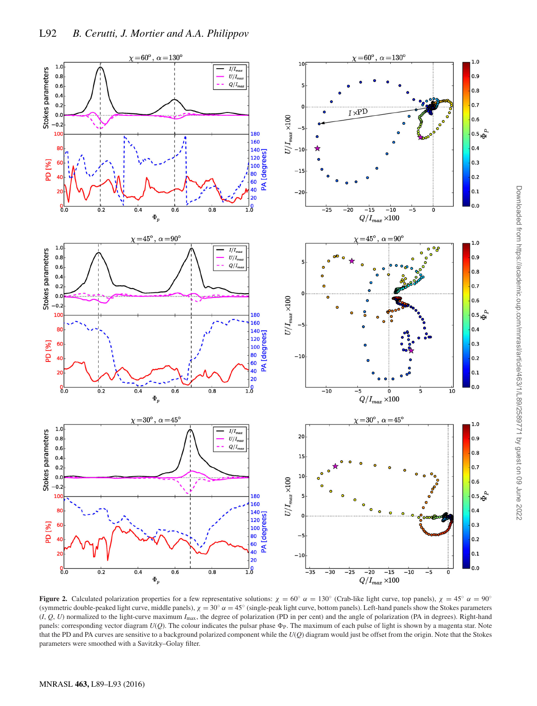

**Figure 2.** Calculated polarization properties for a few representative solutions:  $\chi = 60^\circ$   $\alpha = 130^\circ$  (Crab-like light curve, top panels),  $\chi = 45^\circ$   $\alpha = 90^\circ$ (symmetric double-peaked light curve, middle panels),  $\chi = 30^\circ \alpha = 45^\circ$  (single-peak light curve, bottom panels). Left-hand panels show the Stokes parameters (*I*, *Q*, *U*) normalized to the light-curve maximum *I*max, the degree of polarization (PD in per cent) and the angle of polarization (PA in degrees). Right-hand panels: corresponding vector diagram  $U(Q)$ . The colour indicates the pulsar phase  $\Phi_P$ . The maximum of each pulse of light is shown by a magenta star. Note that the PD and PA curves are sensitive to a background polarized component while the *U*(*Q*) diagram would just be offset from the origin. Note that the Stokes parameters were smoothed with a Savitzky–Golay filter.